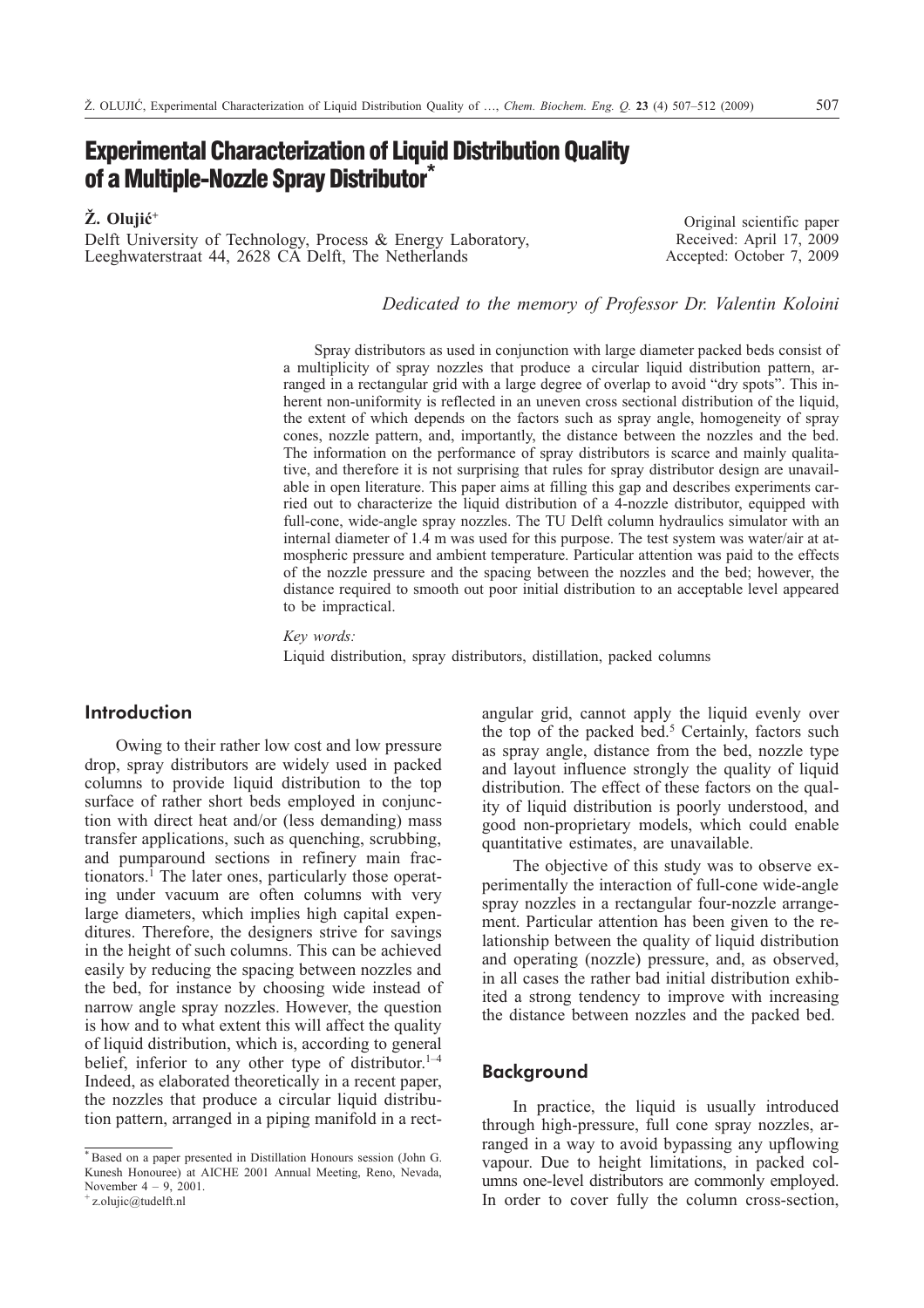# **Experimental Characterization of Liquid Distribution Quality of a Multiple-Nozzle Spray Distributor\***

**. Olujiæ+**

Delft University of Technology, Process & Energy Laboratory, Leeghwaterstraat 44, 2628 CA Delft, The Netherlands

Original scientific paper Received: April 17, 2009 Accepted: October 7, 2009

*Dedicated to the memory of Professor Dr. Valentin Koloini*

Spray distributors as used in conjunction with large diameter packed beds consist of a multiplicity of spray nozzles that produce a circular liquid distribution pattern, arranged in a rectangular grid with a large degree of overlap to avoid "dry spots". This inherent non-uniformity is reflected in an uneven cross sectional distribution of the liquid, the extent of which depends on the factors such as spray angle, homogeneity of spray cones, nozzle pattern, and, importantly, the distance between the nozzles and the bed. The information on the performance of spray distributors is scarce and mainly qualitative, and therefore it is not surprising that rules for spray distributor design are unavailable in open literature. This paper aims at filling this gap and describes experiments carried out to characterize the liquid distribution of a 4-nozzle distributor, equipped with full-cone, wide-angle spray nozzles. The TU Delft column hydraulics simulator with an internal diameter of 1.4 m was used for this purpose. The test system was water/air at atmospheric pressure and ambient temperature. Particular attention was paid to the effects of the nozzle pressure and the spacing between the nozzles and the bed; however, the distance required to smooth out poor initial distribution to an acceptable level appeared to be impractical.

*Key words:*

Liquid distribution, spray distributors, distillation, packed columns

## **Introduction**

Owing to their rather low cost and low pressure drop, spray distributors are widely used in packed columns to provide liquid distribution to the top surface of rather short beds employed in conjunction with direct heat and/or (less demanding) mass transfer applications, such as quenching, scrubbing, and pumparound sections in refinery main fractionators.1 The later ones, particularly those operating under vacuum are often columns with very large diameters, which implies high capital expenditures. Therefore, the designers strive for savings in the height of such columns. This can be achieved easily by reducing the spacing between nozzles and the bed, for instance by choosing wide instead of narrow angle spray nozzles. However, the question is how and to what extent this will affect the quality of liquid distribution, which is, according to general belief, inferior to any other type of distributor.<sup>1–4</sup> Indeed, as elaborated theoretically in a recent paper, the nozzles that produce a circular liquid distribution pattern, arranged in a piping manifold in a rectangular grid, cannot apply the liquid evenly over the top of the packed bed.<sup>5</sup> Certainly, factors such as spray angle, distance from the bed, nozzle type and layout influence strongly the quality of liquid distribution. The effect of these factors on the quality of liquid distribution is poorly understood, and good non-proprietary models, which could enable quantitative estimates, are unavailable.

The objective of this study was to observe experimentally the interaction of full-cone wide-angle spray nozzles in a rectangular four-nozzle arrangement. Particular attention has been given to the relationship between the quality of liquid distribution and operating (nozzle) pressure, and, as observed, in all cases the rather bad initial distribution exhibited a strong tendency to improve with increasing the distance between nozzles and the packed bed.

#### **Background**

In practice, the liquid is usually introduced through high-pressure, full cone spray nozzles, arranged in a way to avoid bypassing any upflowing vapour. Due to height limitations, in packed columns one-level distributors are commonly employed. In order to cover fully the column cross-section,

<sup>\*</sup> Based on a paper presented in Distillation Honours session (John G. Kunesh Honouree) at AICHE 2001 Annual Meeting, Reno, Nevada, November  $4 - 9$ , 2001.

<sup>+</sup> z.olujic@tudelft.nl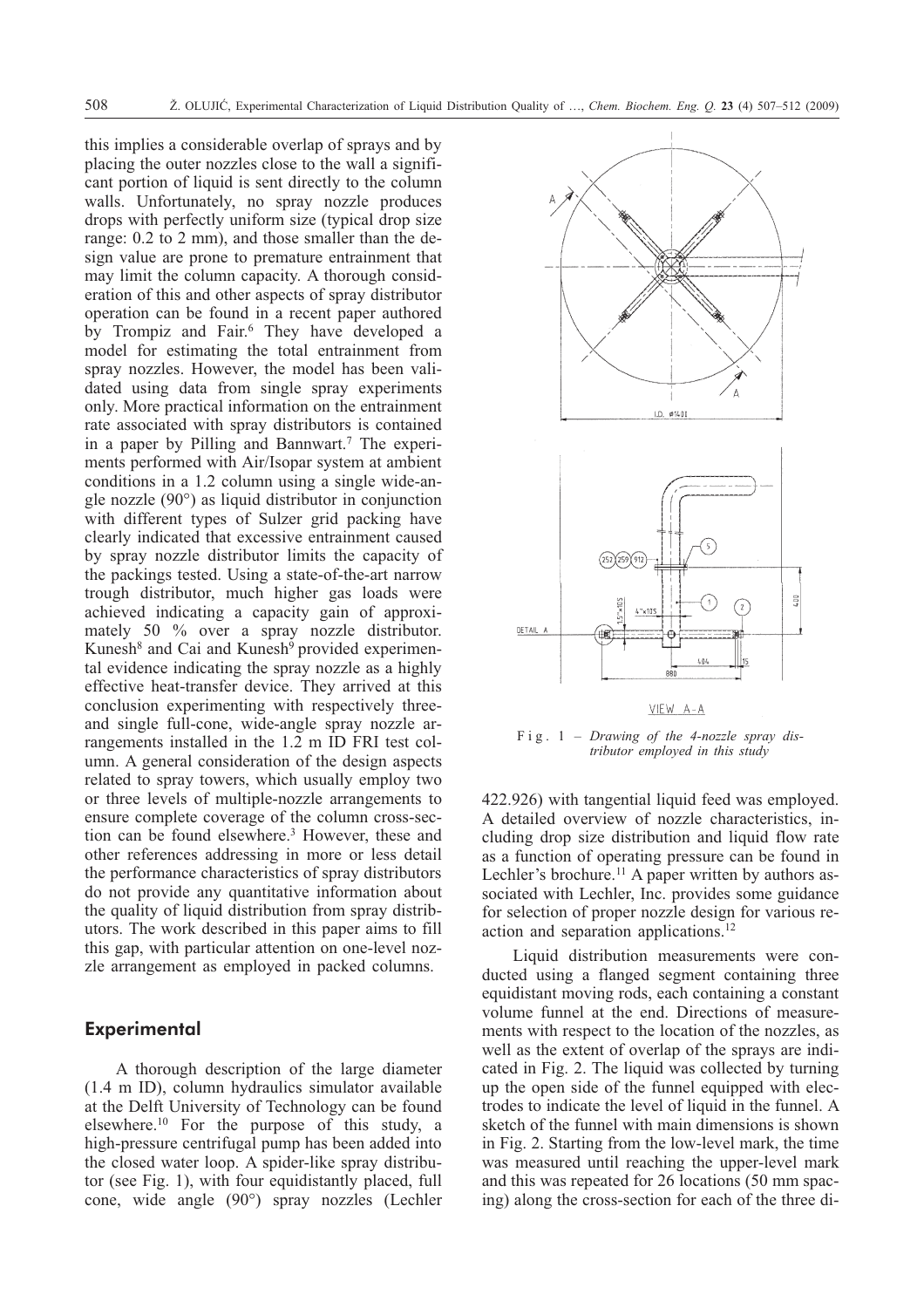this implies a considerable overlap of sprays and by placing the outer nozzles close to the wall a significant portion of liquid is sent directly to the column walls. Unfortunately, no spray nozzle produces drops with perfectly uniform size (typical drop size range: 0.2 to 2 mm), and those smaller than the design value are prone to premature entrainment that may limit the column capacity. A thorough consideration of this and other aspects of spray distributor operation can be found in a recent paper authored by Trompiz and Fair.<sup>6</sup> They have developed a model for estimating the total entrainment from spray nozzles. However, the model has been validated using data from single spray experiments only. More practical information on the entrainment rate associated with spray distributors is contained in a paper by Pilling and Bannwart.<sup>7</sup> The experiments performed with Air/Isopar system at ambient conditions in a 1.2 column using a single wide-angle nozzle (90°) as liquid distributor in conjunction with different types of Sulzer grid packing have clearly indicated that excessive entrainment caused by spray nozzle distributor limits the capacity of the packings tested. Using a state-of-the-art narrow trough distributor, much higher gas loads were achieved indicating a capacity gain of approximately 50 % over a spray nozzle distributor. Kunesh<sup>8</sup> and Cai and Kunesh<sup>9</sup> provided experimental evidence indicating the spray nozzle as a highly effective heat-transfer device. They arrived at this conclusion experimenting with respectively threeand single full-cone, wide-angle spray nozzle arrangements installed in the 1.2 m ID FRI test column. A general consideration of the design aspects related to spray towers, which usually employ two or three levels of multiple-nozzle arrangements to ensure complete coverage of the column cross-section can be found elsewhere.3 However, these and other references addressing in more or less detail the performance characteristics of spray distributors do not provide any quantitative information about the quality of liquid distribution from spray distributors. The work described in this paper aims to fill this gap, with particular attention on one-level nozzle arrangement as employed in packed columns.

### **Experimental**

A thorough description of the large diameter (1.4 m ID), column hydraulics simulator available at the Delft University of Technology can be found elsewhere.10 For the purpose of this study, a high-pressure centrifugal pump has been added into the closed water loop. A spider-like spray distributor (see Fig. 1), with four equidistantly placed, full cone, wide angle (90°) spray nozzles (Lechler



Fig. 1 – *Drawing of the 4-nozzle spray distributor employed in this study*

422.926) with tangential liquid feed was employed. A detailed overview of nozzle characteristics, including drop size distribution and liquid flow rate as a function of operating pressure can be found in Lechler's brochure.<sup>11</sup> A paper written by authors associated with Lechler, Inc. provides some guidance for selection of proper nozzle design for various reaction and separation applications.12

Liquid distribution measurements were conducted using a flanged segment containing three equidistant moving rods, each containing a constant volume funnel at the end. Directions of measurements with respect to the location of the nozzles, as well as the extent of overlap of the sprays are indicated in Fig. 2. The liquid was collected by turning up the open side of the funnel equipped with electrodes to indicate the level of liquid in the funnel. A sketch of the funnel with main dimensions is shown in Fig. 2. Starting from the low-level mark, the time was measured until reaching the upper-level mark and this was repeated for 26 locations (50 mm spacing) along the cross-section for each of the three di-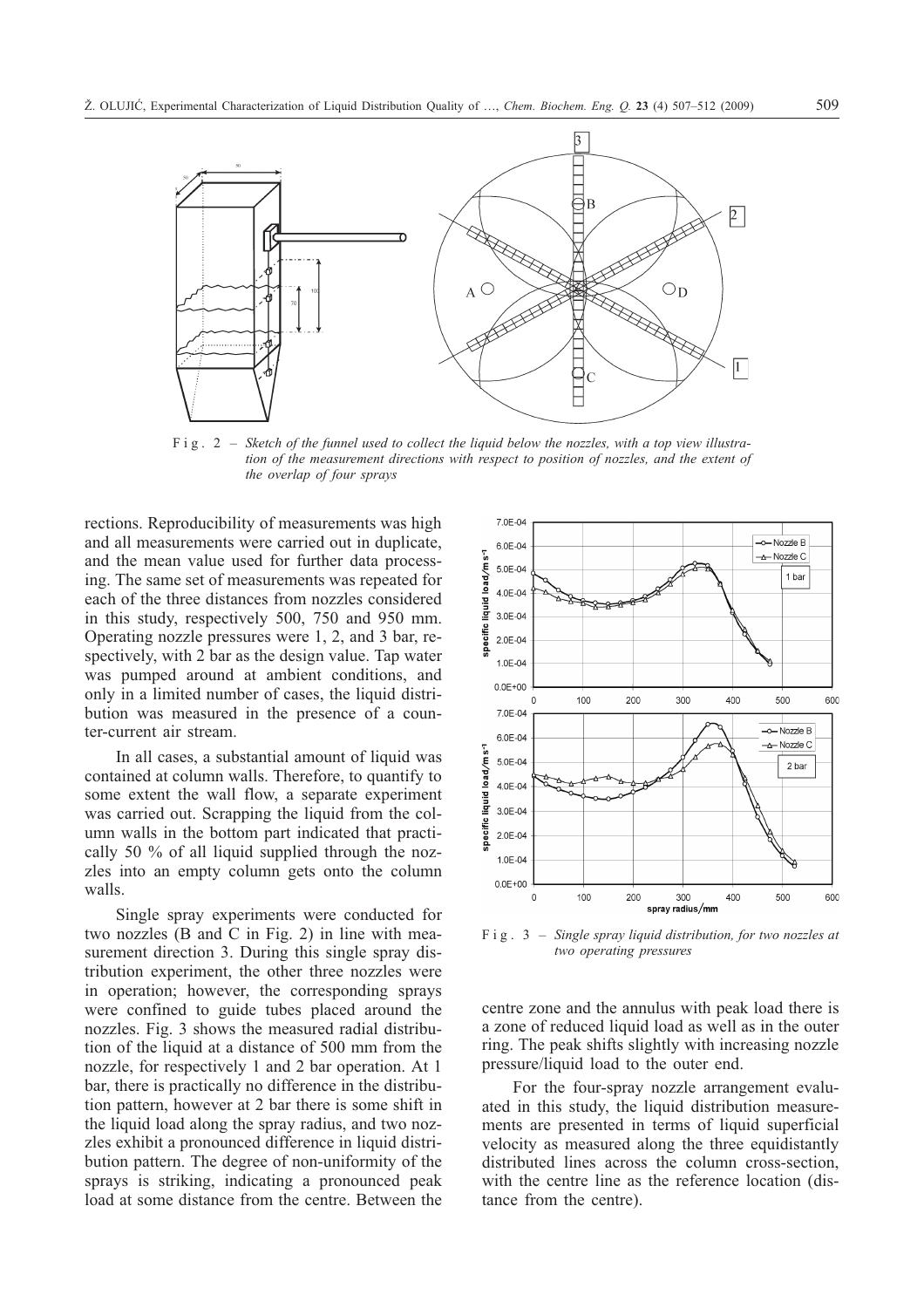

Fig. 2 – *Sketch of the funnel used to collect the liquid below the nozzles, with a top view illustration of the measurement directions with respect to position of nozzles, and the extent of the overlap of four sprays*

rections. Reproducibility of measurements was high and all measurements were carried out in duplicate, and the mean value used for further data processing. The same set of measurements was repeated for each of the three distances from nozzles considered in this study, respectively 500, 750 and 950 mm. Operating nozzle pressures were 1, 2, and 3 bar, respectively, with 2 bar as the design value. Tap water was pumped around at ambient conditions, and only in a limited number of cases, the liquid distribution was measured in the presence of a counter-current air stream.

In all cases, a substantial amount of liquid was contained at column walls. Therefore, to quantify to some extent the wall flow, a separate experiment was carried out. Scrapping the liquid from the column walls in the bottom part indicated that practically 50 % of all liquid supplied through the nozzles into an empty column gets onto the column walls.

Single spray experiments were conducted for two nozzles (B and C in Fig. 2) in line with measurement direction 3. During this single spray distribution experiment, the other three nozzles were in operation; however, the corresponding sprays were confined to guide tubes placed around the nozzles. Fig. 3 shows the measured radial distribution of the liquid at a distance of 500 mm from the nozzle, for respectively 1 and 2 bar operation. At 1 bar, there is practically no difference in the distribution pattern, however at 2 bar there is some shift in the liquid load along the spray radius, and two nozzles exhibit a pronounced difference in liquid distribution pattern. The degree of non-uniformity of the sprays is striking, indicating a pronounced peak load at some distance from the centre. Between the



Fig. 3 – *Single spray liquid distribution, for two nozzles at two operating pressures*

centre zone and the annulus with peak load there is a zone of reduced liquid load as well as in the outer ring. The peak shifts slightly with increasing nozzle pressure/liquid load to the outer end.

For the four-spray nozzle arrangement evaluated in this study, the liquid distribution measurements are presented in terms of liquid superficial velocity as measured along the three equidistantly distributed lines across the column cross-section, with the centre line as the reference location (distance from the centre).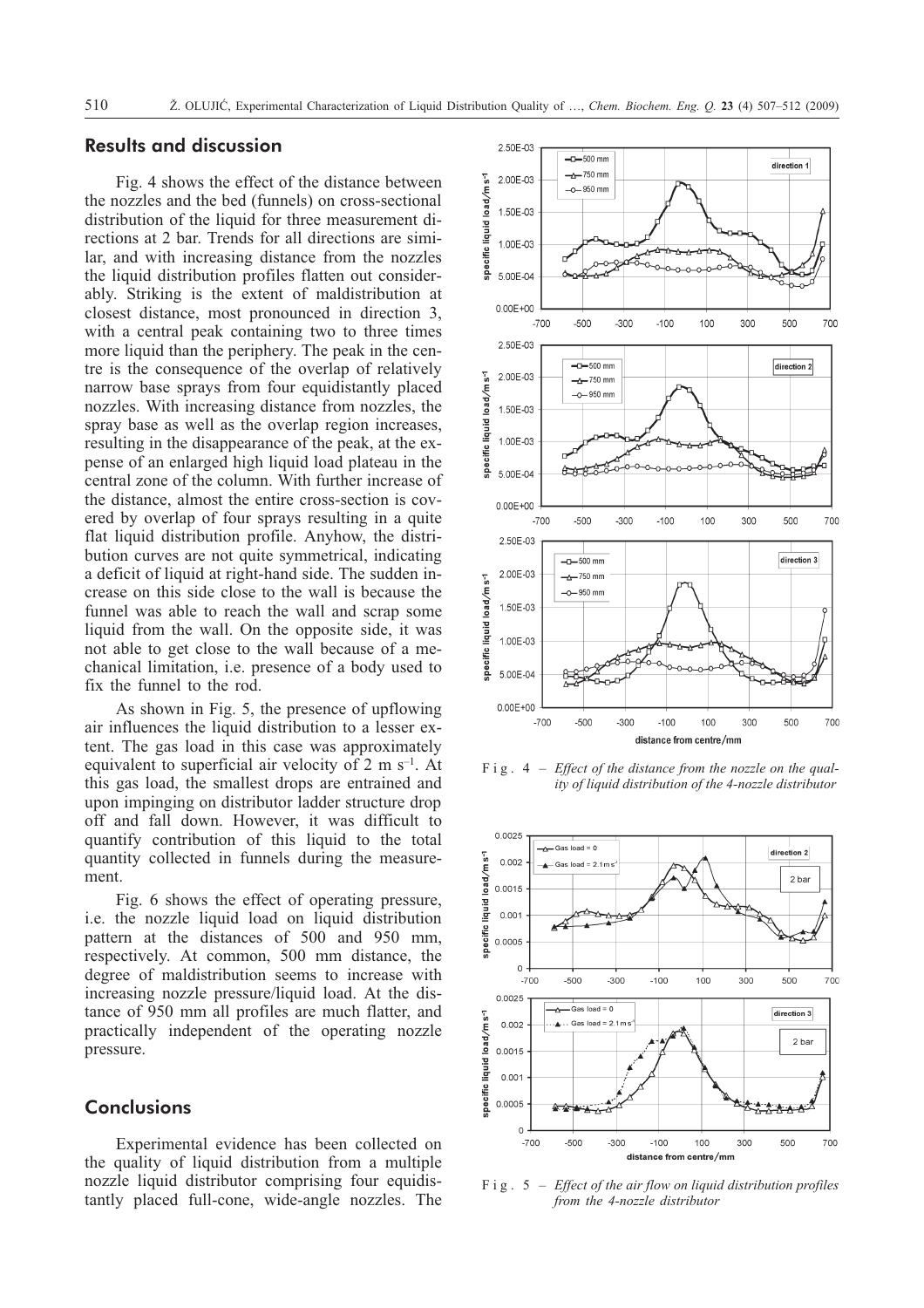## **Results and discussion**

Fig. 4 shows the effect of the distance between the nozzles and the bed (funnels) on cross-sectional distribution of the liquid for three measurement directions at 2 bar. Trends for all directions are similar, and with increasing distance from the nozzles the liquid distribution profiles flatten out considerably. Striking is the extent of maldistribution at closest distance, most pronounced in direction 3, with a central peak containing two to three times more liquid than the periphery. The peak in the centre is the consequence of the overlap of relatively narrow base sprays from four equidistantly placed nozzles. With increasing distance from nozzles, the spray base as well as the overlap region increases, resulting in the disappearance of the peak, at the expense of an enlarged high liquid load plateau in the central zone of the column. With further increase of the distance, almost the entire cross-section is covered by overlap of four sprays resulting in a quite flat liquid distribution profile. Anyhow, the distribution curves are not quite symmetrical, indicating a deficit of liquid at right-hand side. The sudden increase on this side close to the wall is because the funnel was able to reach the wall and scrap some liquid from the wall. On the opposite side, it was not able to get close to the wall because of a mechanical limitation, i.e. presence of a body used to fix the funnel to the rod.

As shown in Fig. 5, the presence of upflowing air influences the liquid distribution to a lesser extent. The gas load in this case was approximately equivalent to superficial air velocity of 2 m  $s^{-1}$ . At this gas load, the smallest drops are entrained and upon impinging on distributor ladder structure drop off and fall down. However, it was difficult to quantify contribution of this liquid to the total quantity collected in funnels during the measurement.

Fig. 6 shows the effect of operating pressure, i.e. the nozzle liquid load on liquid distribution pattern at the distances of 500 and 950 mm, respectively. At common, 500 mm distance, the degree of maldistribution seems to increase with increasing nozzle pressure/liquid load. At the distance of 950 mm all profiles are much flatter, and practically independent of the operating nozzle pressure.

## **Conclusions**

Experimental evidence has been collected on the quality of liquid distribution from a multiple nozzle liquid distributor comprising four equidistantly placed full-cone, wide-angle nozzles. The



Fig. 4 – *Effect of the distance from the nozzle on the quality of liquid distribution of the 4-nozzle distributor*



Fig. 5 – *Effect of the air flow on liquid distribution profiles from the 4-nozzle distributor*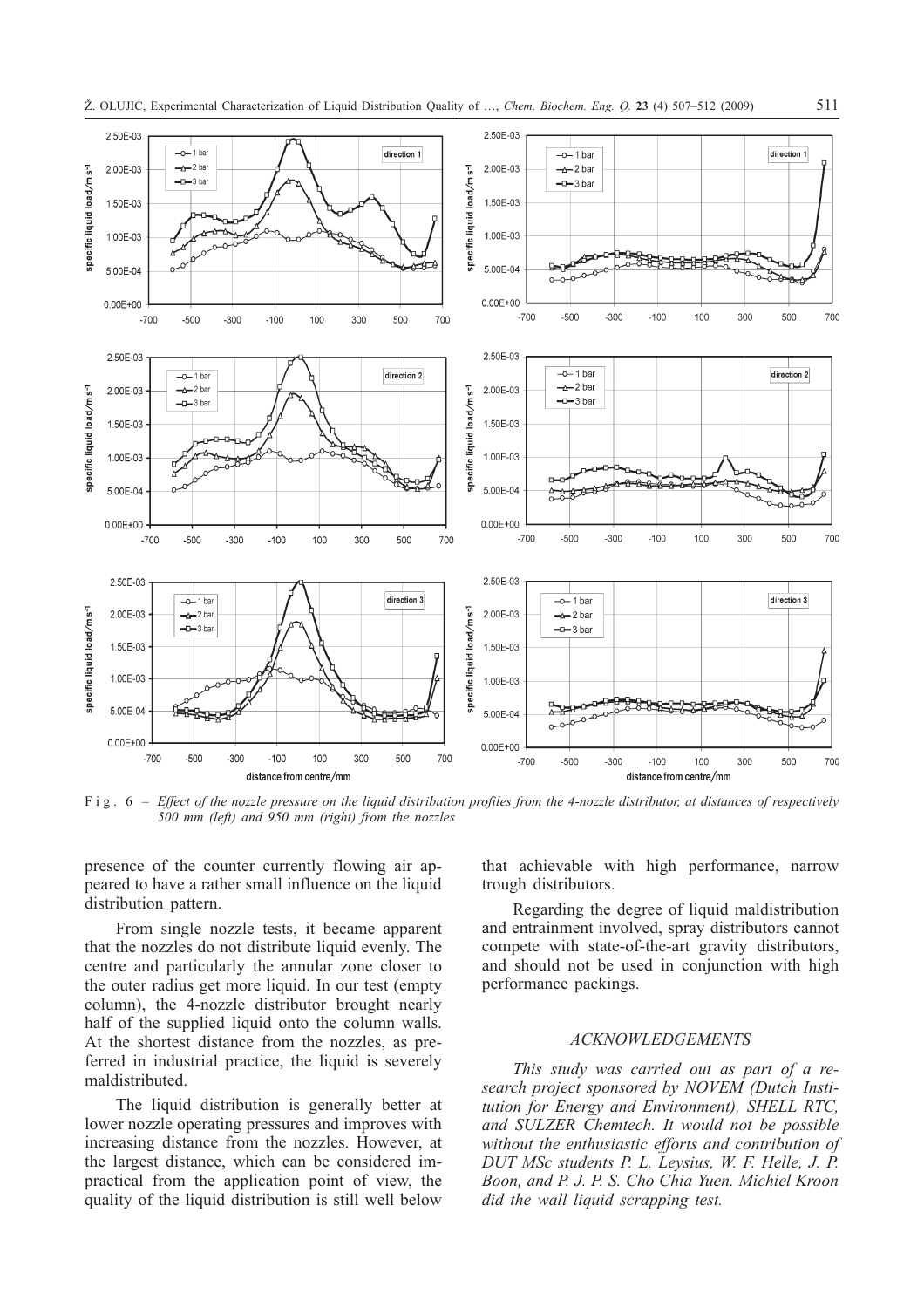

Fig. 6 – *Effect of the nozzle pressure on the liquid distribution profiles from the 4-nozzle distributor, at distances of respectively 500 mm (left) and 950 mm (right) from the nozzles*

presence of the counter currently flowing air appeared to have a rather small influence on the liquid distribution pattern.

From single nozzle tests, it became apparent that the nozzles do not distribute liquid evenly. The centre and particularly the annular zone closer to the outer radius get more liquid. In our test (empty column), the 4-nozzle distributor brought nearly half of the supplied liquid onto the column walls. At the shortest distance from the nozzles, as preferred in industrial practice, the liquid is severely maldistributed.

The liquid distribution is generally better at lower nozzle operating pressures and improves with increasing distance from the nozzles. However, at the largest distance, which can be considered impractical from the application point of view, the quality of the liquid distribution is still well below that achievable with high performance, narrow trough distributors.

Regarding the degree of liquid maldistribution and entrainment involved, spray distributors cannot compete with state-of-the-art gravity distributors, and should not be used in conjunction with high performance packings.

#### *ACKNOWLEDGEMENTS*

*This study was carried out as part of a research project sponsored by NOVEM (Dutch Institution for Energy and Environment), SHELL RTC, and SULZER Chemtech. It would not be possible without the enthusiastic efforts and contribution of DUT MSc students P. L. Leysius, W. F. Helle, J. P. Boon, and P. J. P. S. Cho Chia Yuen. Michiel Kroon did the wall liquid scrapping test.*